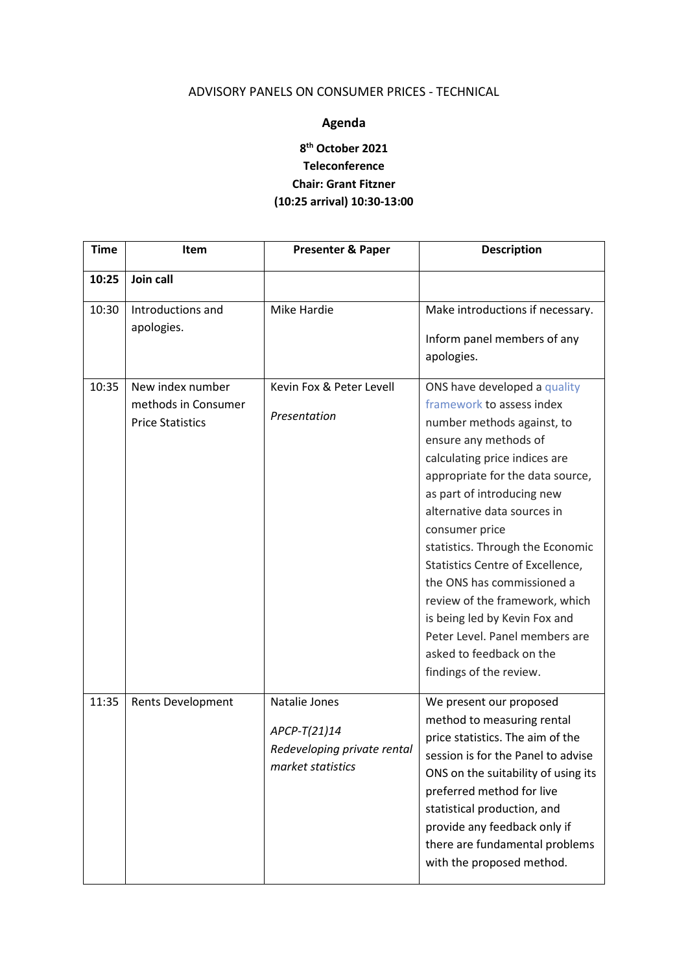## ADVISORY PANELS ON CONSUMER PRICES - TECHNICAL

## **Agenda**

## **8th October 2021 Teleconference Chair: Grant Fitzner (10:25 arrival) 10:30-13:00**

| <b>Time</b> | <b>Item</b>                                                        | <b>Presenter &amp; Paper</b>                                                      | <b>Description</b>                                                                                                                                                                                                                                                                                                                                                                                                                                                                                                                     |
|-------------|--------------------------------------------------------------------|-----------------------------------------------------------------------------------|----------------------------------------------------------------------------------------------------------------------------------------------------------------------------------------------------------------------------------------------------------------------------------------------------------------------------------------------------------------------------------------------------------------------------------------------------------------------------------------------------------------------------------------|
| 10:25       | Join call                                                          |                                                                                   |                                                                                                                                                                                                                                                                                                                                                                                                                                                                                                                                        |
| 10:30       | Introductions and<br>apologies.                                    | <b>Mike Hardie</b>                                                                | Make introductions if necessary.<br>Inform panel members of any<br>apologies.                                                                                                                                                                                                                                                                                                                                                                                                                                                          |
| 10:35       | New index number<br>methods in Consumer<br><b>Price Statistics</b> | Kevin Fox & Peter Levell<br>Presentation                                          | ONS have developed a quality<br>framework to assess index<br>number methods against, to<br>ensure any methods of<br>calculating price indices are<br>appropriate for the data source,<br>as part of introducing new<br>alternative data sources in<br>consumer price<br>statistics. Through the Economic<br>Statistics Centre of Excellence,<br>the ONS has commissioned a<br>review of the framework, which<br>is being led by Kevin Fox and<br>Peter Level. Panel members are<br>asked to feedback on the<br>findings of the review. |
| 11:35       | Rents Development                                                  | Natalie Jones<br>APCP-T(21)14<br>Redeveloping private rental<br>market statistics | We present our proposed<br>method to measuring rental<br>price statistics. The aim of the<br>session is for the Panel to advise<br>ONS on the suitability of using its<br>preferred method for live<br>statistical production, and<br>provide any feedback only if<br>there are fundamental problems<br>with the proposed method.                                                                                                                                                                                                      |